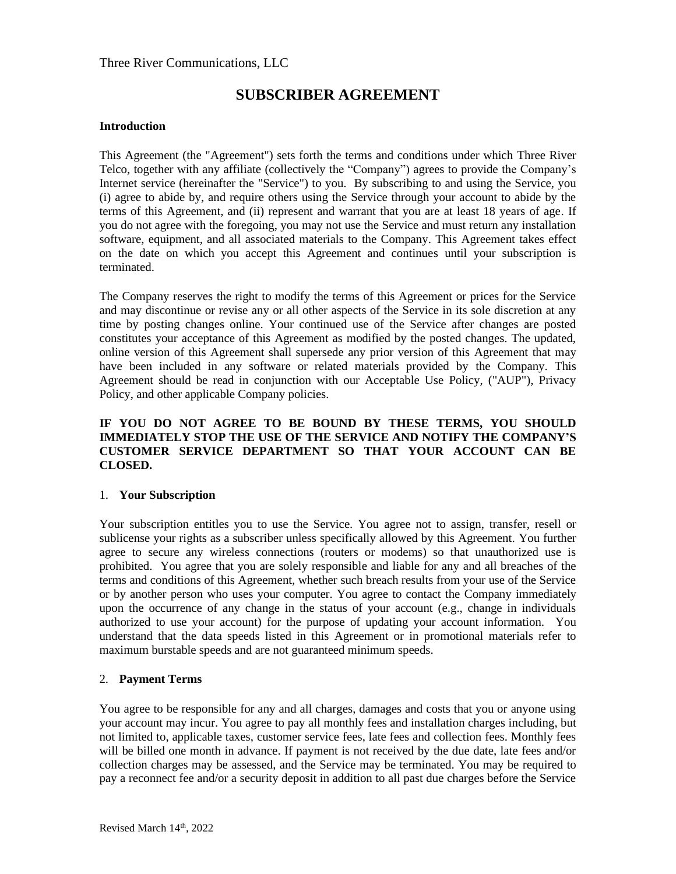### Three River Communications, LLC

# **SUBSCRIBER AGREEMENT**

#### **Introduction**

This Agreement (the "Agreement") sets forth the terms and conditions under which Three River Telco, together with any affiliate (collectively the "Company") agrees to provide the Company's Internet service (hereinafter the "Service") to you. By subscribing to and using the Service, you (i) agree to abide by, and require others using the Service through your account to abide by the terms of this Agreement, and (ii) represent and warrant that you are at least 18 years of age. If you do not agree with the foregoing, you may not use the Service and must return any installation software, equipment, and all associated materials to the Company. This Agreement takes effect on the date on which you accept this Agreement and continues until your subscription is terminated.

The Company reserves the right to modify the terms of this Agreement or prices for the Service and may discontinue or revise any or all other aspects of the Service in its sole discretion at any time by posting changes online. Your continued use of the Service after changes are posted constitutes your acceptance of this Agreement as modified by the posted changes. The updated, online version of this Agreement shall supersede any prior version of this Agreement that may have been included in any software or related materials provided by the Company. This Agreement should be read in conjunction with our Acceptable Use Policy, ("AUP"), Privacy Policy, and other applicable Company policies.

### **IF YOU DO NOT AGREE TO BE BOUND BY THESE TERMS, YOU SHOULD IMMEDIATELY STOP THE USE OF THE SERVICE AND NOTIFY THE COMPANY'S CUSTOMER SERVICE DEPARTMENT SO THAT YOUR ACCOUNT CAN BE CLOSED.**

### 1. **Your Subscription**

Your subscription entitles you to use the Service. You agree not to assign, transfer, resell or sublicense your rights as a subscriber unless specifically allowed by this Agreement. You further agree to secure any wireless connections (routers or modems) so that unauthorized use is prohibited. You agree that you are solely responsible and liable for any and all breaches of the terms and conditions of this Agreement, whether such breach results from your use of the Service or by another person who uses your computer. You agree to contact the Company immediately upon the occurrence of any change in the status of your account (e.g., change in individuals authorized to use your account) for the purpose of updating your account information. You understand that the data speeds listed in this Agreement or in promotional materials refer to maximum burstable speeds and are not guaranteed minimum speeds.

### 2. **Payment Terms**

You agree to be responsible for any and all charges, damages and costs that you or anyone using your account may incur. You agree to pay all monthly fees and installation charges including, but not limited to, applicable taxes, customer service fees, late fees and collection fees. Monthly fees will be billed one month in advance. If payment is not received by the due date, late fees and/or collection charges may be assessed, and the Service may be terminated. You may be required to pay a reconnect fee and/or a security deposit in addition to all past due charges before the Service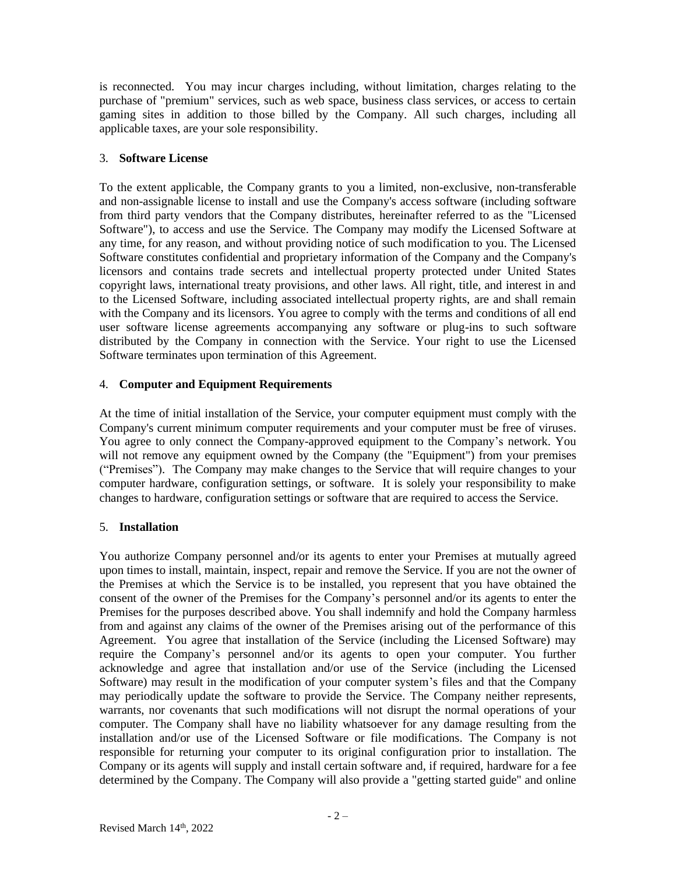is reconnected. You may incur charges including, without limitation, charges relating to the purchase of "premium" services, such as web space, business class services, or access to certain gaming sites in addition to those billed by the Company. All such charges, including all applicable taxes, are your sole responsibility.

# 3. **Software License**

To the extent applicable, the Company grants to you a limited, non-exclusive, non-transferable and non-assignable license to install and use the Company's access software (including software from third party vendors that the Company distributes, hereinafter referred to as the "Licensed Software"), to access and use the Service. The Company may modify the Licensed Software at any time, for any reason, and without providing notice of such modification to you. The Licensed Software constitutes confidential and proprietary information of the Company and the Company's licensors and contains trade secrets and intellectual property protected under United States copyright laws, international treaty provisions, and other laws. All right, title, and interest in and to the Licensed Software, including associated intellectual property rights, are and shall remain with the Company and its licensors. You agree to comply with the terms and conditions of all end user software license agreements accompanying any software or plug-ins to such software distributed by the Company in connection with the Service. Your right to use the Licensed Software terminates upon termination of this Agreement.

# 4. **Computer and Equipment Requirements**

At the time of initial installation of the Service, your computer equipment must comply with the Company's current minimum computer requirements and your computer must be free of viruses. You agree to only connect the Company-approved equipment to the Company's network. You will not remove any equipment owned by the Company (the "Equipment") from your premises ("Premises"). The Company may make changes to the Service that will require changes to your computer hardware, configuration settings, or software. It is solely your responsibility to make changes to hardware, configuration settings or software that are required to access the Service.

### 5. **Installation**

You authorize Company personnel and/or its agents to enter your Premises at mutually agreed upon times to install, maintain, inspect, repair and remove the Service. If you are not the owner of the Premises at which the Service is to be installed, you represent that you have obtained the consent of the owner of the Premises for the Company's personnel and/or its agents to enter the Premises for the purposes described above. You shall indemnify and hold the Company harmless from and against any claims of the owner of the Premises arising out of the performance of this Agreement. You agree that installation of the Service (including the Licensed Software) may require the Company's personnel and/or its agents to open your computer. You further acknowledge and agree that installation and/or use of the Service (including the Licensed Software) may result in the modification of your computer system's files and that the Company may periodically update the software to provide the Service. The Company neither represents, warrants, nor covenants that such modifications will not disrupt the normal operations of your computer. The Company shall have no liability whatsoever for any damage resulting from the installation and/or use of the Licensed Software or file modifications. The Company is not responsible for returning your computer to its original configuration prior to installation. The Company or its agents will supply and install certain software and, if required, hardware for a fee determined by the Company. The Company will also provide a "getting started guide" and online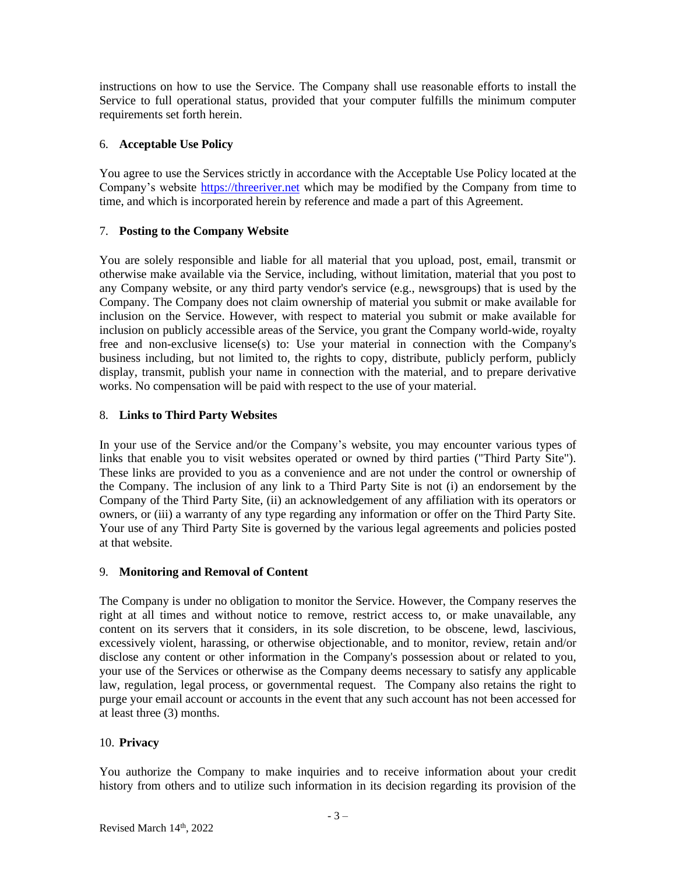instructions on how to use the Service. The Company shall use reasonable efforts to install the Service to full operational status, provided that your computer fulfills the minimum computer requirements set forth herein.

# 6. **Acceptable Use Policy**

You agree to use the Services strictly in accordance with the Acceptable Use Policy located at the Company's website [https://threeriver.net](https://threeriver.net/) which may be modified by the Company from time to time, and which is incorporated herein by reference and made a part of this Agreement.

# 7. **Posting to the Company Website**

You are solely responsible and liable for all material that you upload, post, email, transmit or otherwise make available via the Service, including, without limitation, material that you post to any Company website, or any third party vendor's service (e.g., newsgroups) that is used by the Company. The Company does not claim ownership of material you submit or make available for inclusion on the Service. However, with respect to material you submit or make available for inclusion on publicly accessible areas of the Service, you grant the Company world-wide, royalty free and non-exclusive license(s) to: Use your material in connection with the Company's business including, but not limited to, the rights to copy, distribute, publicly perform, publicly display, transmit, publish your name in connection with the material, and to prepare derivative works. No compensation will be paid with respect to the use of your material.

# 8. **Links to Third Party Websites**

In your use of the Service and/or the Company's website, you may encounter various types of links that enable you to visit websites operated or owned by third parties ("Third Party Site"). These links are provided to you as a convenience and are not under the control or ownership of the Company. The inclusion of any link to a Third Party Site is not (i) an endorsement by the Company of the Third Party Site, (ii) an acknowledgement of any affiliation with its operators or owners, or (iii) a warranty of any type regarding any information or offer on the Third Party Site. Your use of any Third Party Site is governed by the various legal agreements and policies posted at that website.

### 9. **Monitoring and Removal of Content**

The Company is under no obligation to monitor the Service. However, the Company reserves the right at all times and without notice to remove, restrict access to, or make unavailable, any content on its servers that it considers, in its sole discretion, to be obscene, lewd, lascivious, excessively violent, harassing, or otherwise objectionable, and to monitor, review, retain and/or disclose any content or other information in the Company's possession about or related to you, your use of the Services or otherwise as the Company deems necessary to satisfy any applicable law, regulation, legal process, or governmental request. The Company also retains the right to purge your email account or accounts in the event that any such account has not been accessed for at least three (3) months.

# 10. **Privacy**

You authorize the Company to make inquiries and to receive information about your credit history from others and to utilize such information in its decision regarding its provision of the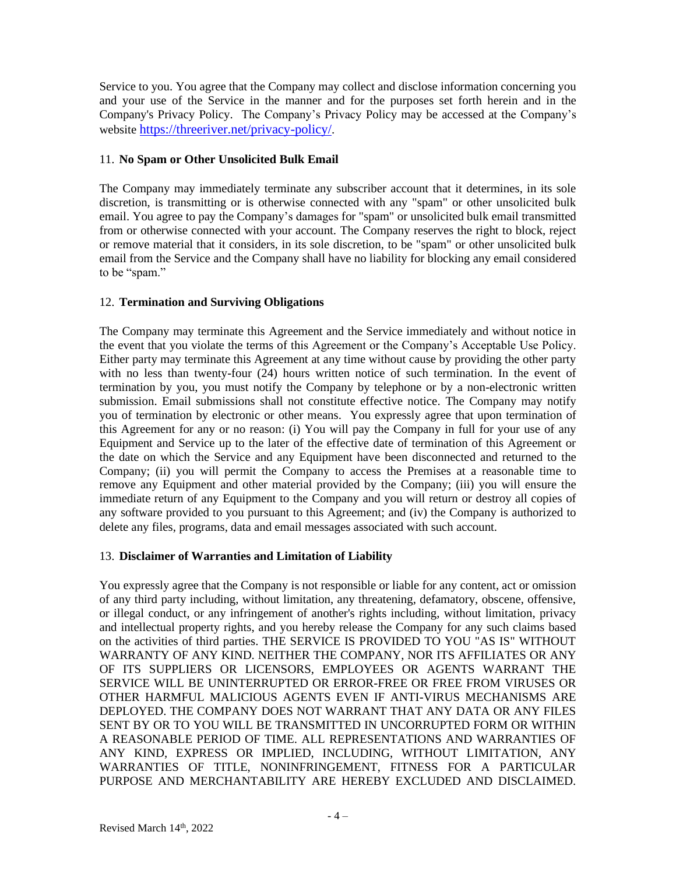Service to you. You agree that the Company may collect and disclose information concerning you and your use of the Service in the manner and for the purposes set forth herein and in the Company's Privacy Policy. The Company's Privacy Policy may be accessed at the Company's website <https://threeriver.net/privacy-policy/>.

### 11. **No Spam or Other Unsolicited Bulk Email**

The Company may immediately terminate any subscriber account that it determines, in its sole discretion, is transmitting or is otherwise connected with any "spam" or other unsolicited bulk email. You agree to pay the Company's damages for "spam" or unsolicited bulk email transmitted from or otherwise connected with your account. The Company reserves the right to block, reject or remove material that it considers, in its sole discretion, to be "spam" or other unsolicited bulk email from the Service and the Company shall have no liability for blocking any email considered to be "spam."

# 12. **Termination and Surviving Obligations**

The Company may terminate this Agreement and the Service immediately and without notice in the event that you violate the terms of this Agreement or the Company's Acceptable Use Policy. Either party may terminate this Agreement at any time without cause by providing the other party with no less than twenty-four (24) hours written notice of such termination. In the event of termination by you, you must notify the Company by telephone or by a non-electronic written submission. Email submissions shall not constitute effective notice. The Company may notify you of termination by electronic or other means. You expressly agree that upon termination of this Agreement for any or no reason: (i) You will pay the Company in full for your use of any Equipment and Service up to the later of the effective date of termination of this Agreement or the date on which the Service and any Equipment have been disconnected and returned to the Company; (ii) you will permit the Company to access the Premises at a reasonable time to remove any Equipment and other material provided by the Company; (iii) you will ensure the immediate return of any Equipment to the Company and you will return or destroy all copies of any software provided to you pursuant to this Agreement; and (iv) the Company is authorized to delete any files, programs, data and email messages associated with such account.

# 13. **Disclaimer of Warranties and Limitation of Liability**

You expressly agree that the Company is not responsible or liable for any content, act or omission of any third party including, without limitation, any threatening, defamatory, obscene, offensive, or illegal conduct, or any infringement of another's rights including, without limitation, privacy and intellectual property rights, and you hereby release the Company for any such claims based on the activities of third parties. THE SERVICE IS PROVIDED TO YOU "AS IS" WITHOUT WARRANTY OF ANY KIND. NEITHER THE COMPANY, NOR ITS AFFILIATES OR ANY OF ITS SUPPLIERS OR LICENSORS, EMPLOYEES OR AGENTS WARRANT THE SERVICE WILL BE UNINTERRUPTED OR ERROR-FREE OR FREE FROM VIRUSES OR OTHER HARMFUL MALICIOUS AGENTS EVEN IF ANTI-VIRUS MECHANISMS ARE DEPLOYED. THE COMPANY DOES NOT WARRANT THAT ANY DATA OR ANY FILES SENT BY OR TO YOU WILL BE TRANSMITTED IN UNCORRUPTED FORM OR WITHIN A REASONABLE PERIOD OF TIME. ALL REPRESENTATIONS AND WARRANTIES OF ANY KIND, EXPRESS OR IMPLIED, INCLUDING, WITHOUT LIMITATION, ANY WARRANTIES OF TITLE, NONINFRINGEMENT, FITNESS FOR A PARTICULAR PURPOSE AND MERCHANTABILITY ARE HEREBY EXCLUDED AND DISCLAIMED.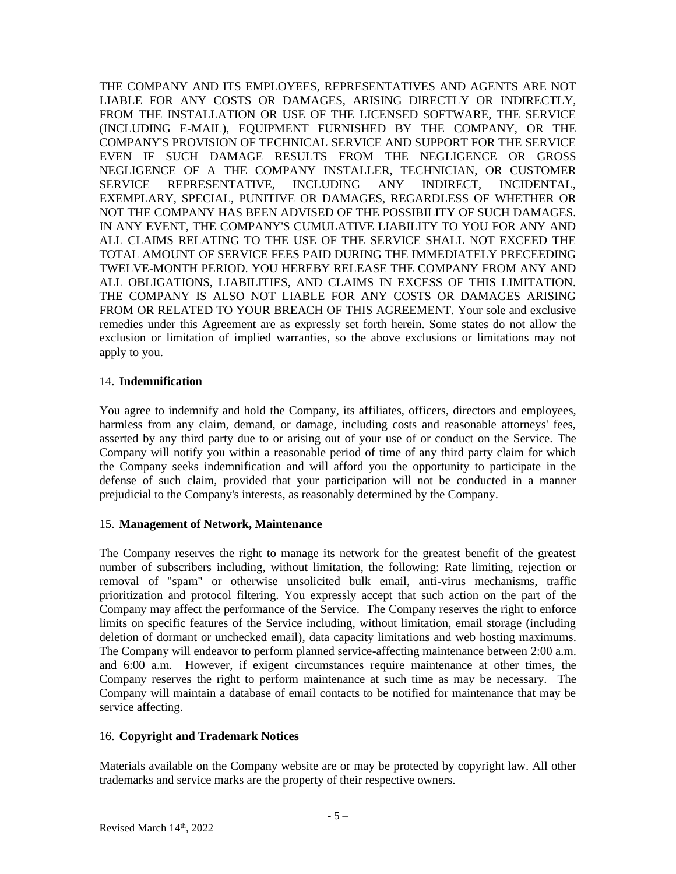THE COMPANY AND ITS EMPLOYEES, REPRESENTATIVES AND AGENTS ARE NOT LIABLE FOR ANY COSTS OR DAMAGES, ARISING DIRECTLY OR INDIRECTLY, FROM THE INSTALLATION OR USE OF THE LICENSED SOFTWARE, THE SERVICE (INCLUDING E-MAIL), EQUIPMENT FURNISHED BY THE COMPANY, OR THE COMPANY'S PROVISION OF TECHNICAL SERVICE AND SUPPORT FOR THE SERVICE EVEN IF SUCH DAMAGE RESULTS FROM THE NEGLIGENCE OR GROSS NEGLIGENCE OF A THE COMPANY INSTALLER, TECHNICIAN, OR CUSTOMER SERVICE REPRESENTATIVE, INCLUDING ANY INDIRECT, INCIDENTAL, EXEMPLARY, SPECIAL, PUNITIVE OR DAMAGES, REGARDLESS OF WHETHER OR NOT THE COMPANY HAS BEEN ADVISED OF THE POSSIBILITY OF SUCH DAMAGES. IN ANY EVENT, THE COMPANY'S CUMULATIVE LIABILITY TO YOU FOR ANY AND ALL CLAIMS RELATING TO THE USE OF THE SERVICE SHALL NOT EXCEED THE TOTAL AMOUNT OF SERVICE FEES PAID DURING THE IMMEDIATELY PRECEEDING TWELVE-MONTH PERIOD. YOU HEREBY RELEASE THE COMPANY FROM ANY AND ALL OBLIGATIONS, LIABILITIES, AND CLAIMS IN EXCESS OF THIS LIMITATION. THE COMPANY IS ALSO NOT LIABLE FOR ANY COSTS OR DAMAGES ARISING FROM OR RELATED TO YOUR BREACH OF THIS AGREEMENT. Your sole and exclusive remedies under this Agreement are as expressly set forth herein. Some states do not allow the exclusion or limitation of implied warranties, so the above exclusions or limitations may not apply to you.

### 14. **Indemnification**

You agree to indemnify and hold the Company, its affiliates, officers, directors and employees, harmless from any claim, demand, or damage, including costs and reasonable attorneys' fees, asserted by any third party due to or arising out of your use of or conduct on the Service. The Company will notify you within a reasonable period of time of any third party claim for which the Company seeks indemnification and will afford you the opportunity to participate in the defense of such claim, provided that your participation will not be conducted in a manner prejudicial to the Company's interests, as reasonably determined by the Company.

### 15. **Management of Network, Maintenance**

The Company reserves the right to manage its network for the greatest benefit of the greatest number of subscribers including, without limitation, the following: Rate limiting, rejection or removal of "spam" or otherwise unsolicited bulk email, anti-virus mechanisms, traffic prioritization and protocol filtering. You expressly accept that such action on the part of the Company may affect the performance of the Service. The Company reserves the right to enforce limits on specific features of the Service including, without limitation, email storage (including deletion of dormant or unchecked email), data capacity limitations and web hosting maximums. The Company will endeavor to perform planned service-affecting maintenance between 2:00 a.m. and 6:00 a.m. However, if exigent circumstances require maintenance at other times, the Company reserves the right to perform maintenance at such time as may be necessary. The Company will maintain a database of email contacts to be notified for maintenance that may be service affecting.

### 16. **Copyright and Trademark Notices**

Materials available on the Company website are or may be protected by copyright law. All other trademarks and service marks are the property of their respective owners.